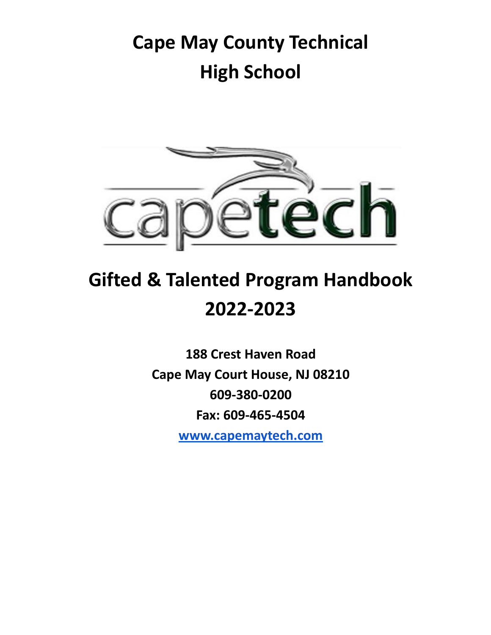## **Cape May County Technical High School**



# **Gifted & Talented Program Handbook 2022-2023**

**188 Crest Haven Road Cape May Court House, NJ 08210 609-380-0200 Fax: 609-465-4504 [www.capemaytech.com](http://www.capemaytech.com)**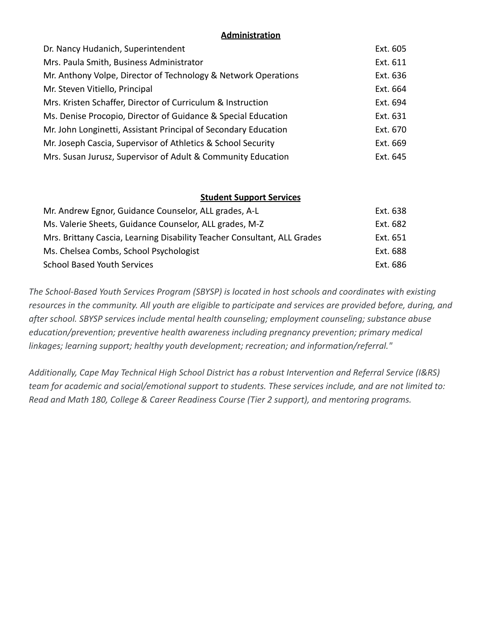#### **Administration**

| Dr. Nancy Hudanich, Superintendent                              | Ext. 605 |
|-----------------------------------------------------------------|----------|
| Mrs. Paula Smith, Business Administrator                        | Ext. 611 |
| Mr. Anthony Volpe, Director of Technology & Network Operations  | Ext. 636 |
| Mr. Steven Vitiello, Principal                                  | Ext. 664 |
| Mrs. Kristen Schaffer, Director of Curriculum & Instruction     | Ext. 694 |
| Ms. Denise Procopio, Director of Guidance & Special Education   | Ext. 631 |
| Mr. John Longinetti, Assistant Principal of Secondary Education | Ext. 670 |
| Mr. Joseph Cascia, Supervisor of Athletics & School Security    | Ext. 669 |
| Mrs. Susan Jurusz, Supervisor of Adult & Community Education    | Ext. 645 |
|                                                                 |          |

#### **Student Support Services**

| Mr. Andrew Egnor, Guidance Counselor, ALL grades, A-L                    | Ext. 638 |
|--------------------------------------------------------------------------|----------|
| Ms. Valerie Sheets, Guidance Counselor, ALL grades, M-Z                  | Ext. 682 |
| Mrs. Brittany Cascia, Learning Disability Teacher Consultant, ALL Grades | Ext. 651 |
| Ms. Chelsea Combs, School Psychologist                                   | Ext. 688 |
| <b>School Based Youth Services</b>                                       | Ext. 686 |

*The School-Based Youth Services Program (SBYSP) is located in host schools and coordinates with existing resources in the community. All youth are eligible to participate and services are provided before, during, and after school. SBYSP services include mental health counseling; employment counseling; substance abuse education/prevention; preventive health awareness including pregnancy prevention; primary medical linkages; learning support; healthy youth development; recreation; and information/referral."*

*Additionally, Cape May Technical High School District has a robust Intervention and Referral Service (I&RS) team for academic and social/emotional support to students. These services include, and are not limited to: Read and Math 180, College & Career Readiness Course (Tier 2 support), and mentoring programs.*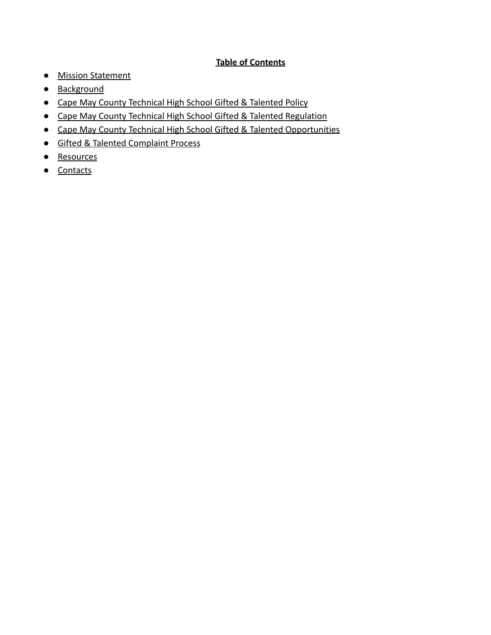#### **Table of Contents**

- [Mission Statement](#page-3-0)
- [Background](#page-4-0)
- [Cape May County Technical High School Gifted & Talented Policy](#page-6-0)
- [Cape May County Technical High School Gifted & Talented Regulation](#page-10-0)
- [Cape May County Technical High School Gifted & Talented Opportunities](#page-12-0)
- [Gifted & Talented Complaint Process](#page-12-1)
- [Resources](#page-12-2)
- [Contacts](#page-12-3)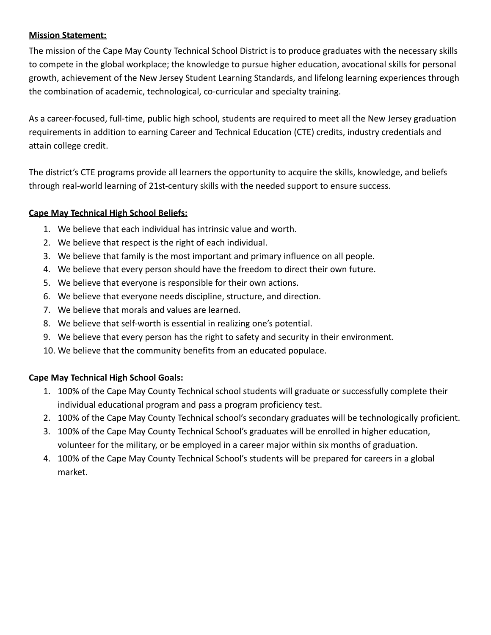#### <span id="page-3-0"></span>**Mission Statement:**

The mission of the Cape May County Technical School District is to produce graduates with the necessary skills to compete in the global workplace; the knowledge to pursue higher education, avocational skills for personal growth, achievement of the New Jersey Student Learning Standards, and lifelong learning experiences through the combination of academic, technological, co-curricular and specialty training.

As a career-focused, full-time, public high school, students are required to meet all the New Jersey graduation requirements in addition to earning Career and Technical Education (CTE) credits, industry credentials and attain college credit.

The district's CTE programs provide all learners the opportunity to acquire the skills, knowledge, and beliefs through real-world learning of 21st-century skills with the needed support to ensure success.

#### **Cape May Technical High School Beliefs:**

- 1. We believe that each individual has intrinsic value and worth.
- 2. We believe that respect is the right of each individual.
- 3. We believe that family is the most important and primary influence on all people.
- 4. We believe that every person should have the freedom to direct their own future.
- 5. We believe that everyone is responsible for their own actions.
- 6. We believe that everyone needs discipline, structure, and direction.
- 7. We believe that morals and values are learned.
- 8. We believe that self-worth is essential in realizing one's potential.
- 9. We believe that every person has the right to safety and security in their environment.
- 10. We believe that the community benefits from an educated populace.

#### **Cape May Technical High School Goals:**

- 1. 100% of the Cape May County Technical school students will graduate or successfully complete their individual educational program and pass a program proficiency test.
- 2. 100% of the Cape May County Technical school's secondary graduates will be technologically proficient.
- 3. 100% of the Cape May County Technical School's graduates will be enrolled in higher education, volunteer for the military, or be employed in a career major within six months of graduation.
- 4. 100% of the Cape May County Technical School's students will be prepared for careers in a global market.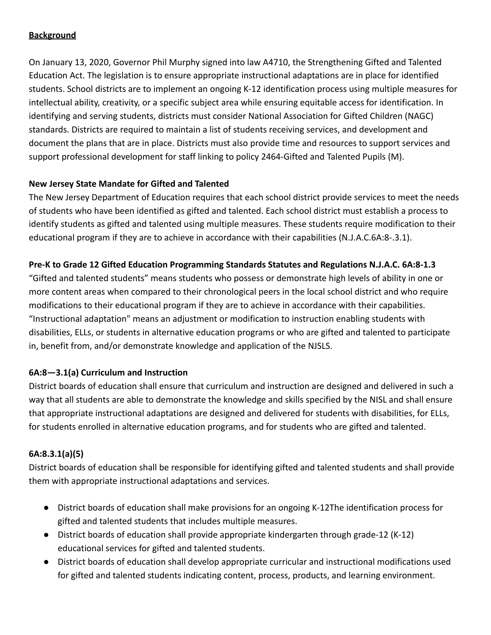#### <span id="page-4-0"></span>**Background**

On January 13, 2020, Governor Phil Murphy signed into law A4710, the Strengthening Gifted and Talented Education Act. The legislation is to ensure appropriate instructional adaptations are in place for identified students. School districts are to implement an ongoing K-12 identification process using multiple measures for intellectual ability, creativity, or a specific subject area while ensuring equitable access for identification. In identifying and serving students, districts must consider National Association for Gifted Children (NAGC) standards. Districts are required to maintain a list of students receiving services, and development and document the plans that are in place. Districts must also provide time and resources to support services and support professional development for staff linking to policy 2464-Gifted and Talented Pupils (M).

#### **New Jersey State Mandate for Gifted and Talented**

The New Jersey Department of Education requires that each school district provide services to meet the needs of students who have been identified as gifted and talented. Each school district must establish a process to identify students as gifted and talented using multiple measures. These students require modification to their educational program if they are to achieve in accordance with their capabilities (N.J.A.C.6A:8-.3.1).

#### **Pre-K to Grade 12 Gifted Education Programming Standards Statutes and Regulations N.J.A.C. 6A:8-1.3**

"Gifted and talented students" means students who possess or demonstrate high levels of ability in one or more content areas when compared to their chronological peers in the local school district and who require modifications to their educational program if they are to achieve in accordance with their capabilities. "Instructional adaptation" means an adjustment or modification to instruction enabling students with disabilities, ELLs, or students in alternative education programs or who are gifted and talented to participate in, benefit from, and/or demonstrate knowledge and application of the NJSLS.

#### **6A:8—3.1(a) Curriculum and Instruction**

District boards of education shall ensure that curriculum and instruction are designed and delivered in such a way that all students are able to demonstrate the knowledge and skills specified by the NISL and shall ensure that appropriate instructional adaptations are designed and delivered for students with disabilities, for ELLs, for students enrolled in alternative education programs, and for students who are gifted and talented.

#### **6A:8.3.1(a)(5)**

District boards of education shall be responsible for identifying gifted and talented students and shall provide them with appropriate instructional adaptations and services.

- District boards of education shall make provisions for an ongoing K-12The identification process for gifted and talented students that includes multiple measures.
- District boards of education shall provide appropriate kindergarten through grade-12 (K-12) educational services for gifted and talented students.
- District boards of education shall develop appropriate curricular and instructional modifications used for gifted and talented students indicating content, process, products, and learning environment.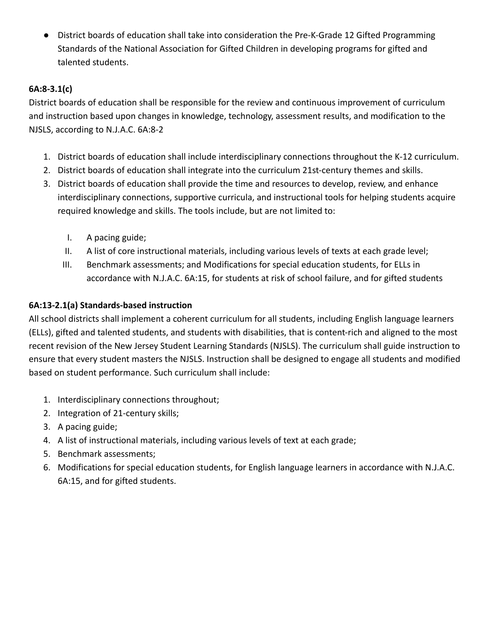● District boards of education shall take into consideration the Pre-K-Grade 12 Gifted Programming Standards of the National Association for Gifted Children in developing programs for gifted and talented students.

#### **6A:8-3.1(c)**

District boards of education shall be responsible for the review and continuous improvement of curriculum and instruction based upon changes in knowledge, technology, assessment results, and modification to the NJSLS, according to N.J.A.C. 6A:8-2

- 1. District boards of education shall include interdisciplinary connections throughout the K-12 curriculum.
- 2. District boards of education shall integrate into the curriculum 21st-century themes and skills.
- 3. District boards of education shall provide the time and resources to develop, review, and enhance interdisciplinary connections, supportive curricula, and instructional tools for helping students acquire required knowledge and skills. The tools include, but are not limited to:
	- I. A pacing guide;
	- II. A list of core instructional materials, including various levels of texts at each grade level;
	- III. Benchmark assessments; and Modifications for special education students, for ELLs in accordance with N.J.A.C. 6A:15, for students at risk of school failure, and for gifted students

#### **6A:13-2.1(a) Standards-based instruction**

All school districts shall implement a coherent curriculum for all students, including English language learners (ELLs), gifted and talented students, and students with disabilities, that is content-rich and aligned to the most recent revision of the New Jersey Student Learning Standards (NJSLS). The curriculum shall guide instruction to ensure that every student masters the NJSLS. Instruction shall be designed to engage all students and modified based on student performance. Such curriculum shall include:

- 1. Interdisciplinary connections throughout;
- 2. Integration of 21-century skills;
- 3. A pacing guide;
- 4. A list of instructional materials, including various levels of text at each grade;
- 5. Benchmark assessments;
- 6. Modifications for special education students, for English language learners in accordance with N.J.A.C. 6A:15, and for gifted students.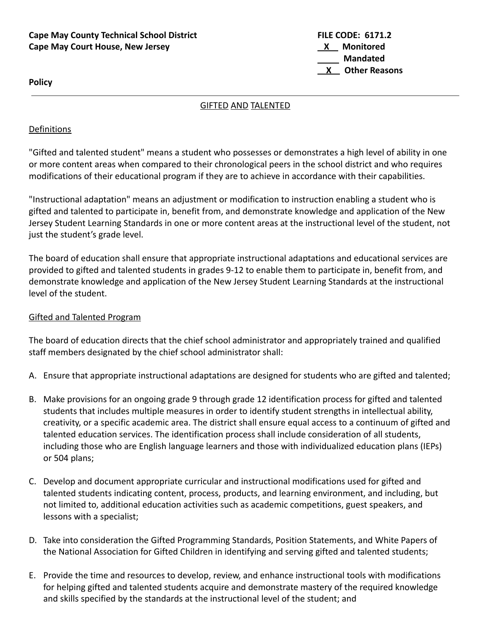#### **Cape May County Technical School District FILE CODE: 6171.2 Cape May Court House, New Jersey <b>X X Monitored**

**Mandated X Other Reasons**

<span id="page-6-0"></span>**Policy**

#### GIFTED AND TALENTED

#### **Definitions**

"Gifted and talented student" means a student who possesses or demonstrates a high level of ability in one or more content areas when compared to their chronological peers in the school district and who requires modifications of their educational program if they are to achieve in accordance with their capabilities.

"Instructional adaptation" means an adjustment or modification to instruction enabling a student who is gifted and talented to participate in, benefit from, and demonstrate knowledge and application of the New Jersey Student Learning Standards in one or more content areas at the instructional level of the student, not just the student's grade level.

The board of education shall ensure that appropriate instructional adaptations and educational services are provided to gifted and talented students in grades 9-12 to enable them to participate in, benefit from, and demonstrate knowledge and application of the New Jersey Student Learning Standards at the instructional level of the student.

#### Gifted and Talented Program

The board of education directs that the chief school administrator and appropriately trained and qualified staff members designated by the chief school administrator shall:

- A. Ensure that appropriate instructional adaptations are designed for students who are gifted and talented;
- B. Make provisions for an ongoing grade 9 through grade 12 identification process for gifted and talented students that includes multiple measures in order to identify student strengths in intellectual ability, creativity, or a specific academic area. The district shall ensure equal access to a continuum of gifted and talented education services. The identification process shall include consideration of all students, including those who are English language learners and those with individualized education plans (IEPs) or 504 plans;
- C. Develop and document appropriate curricular and instructional modifications used for gifted and talented students indicating content, process, products, and learning environment, and including, but not limited to, additional education activities such as academic competitions, guest speakers, and lessons with a specialist;
- D. Take into consideration the Gifted Programming Standards, Position Statements, and White Papers of the National Association for Gifted Children in identifying and serving gifted and talented students;
- E. Provide the time and resources to develop, review, and enhance instructional tools with modifications for helping gifted and talented students acquire and demonstrate mastery of the required knowledge and skills specified by the standards at the instructional level of the student; and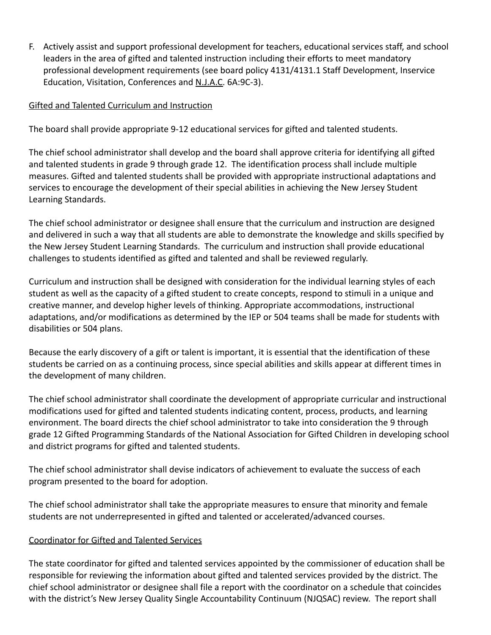F. Actively assist and support professional development for teachers, educational services staff, and school leaders in the area of gifted and talented instruction including their efforts to meet mandatory professional development requirements (see board policy 4131/4131.1 Staff Development, Inservice Education, Visitation, Conferences and N.J.A.C. 6A:9C-3).

#### Gifted and Talented Curriculum and Instruction

The board shall provide appropriate 9-12 educational services for gifted and talented students.

The chief school administrator shall develop and the board shall approve criteria for identifying all gifted and talented students in grade 9 through grade 12. The identification process shall include multiple measures. Gifted and talented students shall be provided with appropriate instructional adaptations and services to encourage the development of their special abilities in achieving the New Jersey Student Learning Standards.

The chief school administrator or designee shall ensure that the curriculum and instruction are designed and delivered in such a way that all students are able to demonstrate the knowledge and skills specified by the New Jersey Student Learning Standards. The curriculum and instruction shall provide educational challenges to students identified as gifted and talented and shall be reviewed regularly.

Curriculum and instruction shall be designed with consideration for the individual learning styles of each student as well as the capacity of a gifted student to create concepts, respond to stimuli in a unique and creative manner, and develop higher levels of thinking. Appropriate accommodations, instructional adaptations, and/or modifications as determined by the IEP or 504 teams shall be made for students with disabilities or 504 plans.

Because the early discovery of a gift or talent is important, it is essential that the identification of these students be carried on as a continuing process, since special abilities and skills appear at different times in the development of many children.

The chief school administrator shall coordinate the development of appropriate curricular and instructional modifications used for gifted and talented students indicating content, process, products, and learning environment. The board directs the chief school administrator to take into consideration the 9 through grade 12 Gifted Programming Standards of the National Association for Gifted Children in developing school and district programs for gifted and talented students.

The chief school administrator shall devise indicators of achievement to evaluate the success of each program presented to the board for adoption.

The chief school administrator shall take the appropriate measures to ensure that minority and female students are not underrepresented in gifted and talented or accelerated/advanced courses.

#### Coordinator for Gifted and Talented Services

The state coordinator for gifted and talented services appointed by the commissioner of education shall be responsible for reviewing the information about gifted and talented services provided by the district. The chief school administrator or designee shall file a report with the coordinator on a schedule that coincides with the district's New Jersey Quality Single Accountability Continuum (NJQSAC) review. The report shall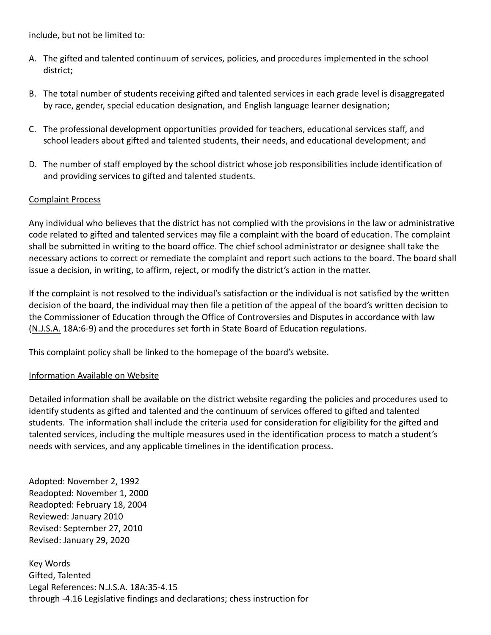include, but not be limited to:

- A. The gifted and talented continuum of services, policies, and procedures implemented in the school district;
- B. The total number of students receiving gifted and talented services in each grade level is disaggregated by race, gender, special education designation, and English language learner designation;
- C. The professional development opportunities provided for teachers, educational services staff, and school leaders about gifted and talented students, their needs, and educational development; and
- D. The number of staff employed by the school district whose job responsibilities include identification of and providing services to gifted and talented students.

#### Complaint Process

Any individual who believes that the district has not complied with the provisions in the law or administrative code related to gifted and talented services may file a complaint with the board of education. The complaint shall be submitted in writing to the board office. The chief school administrator or designee shall take the necessary actions to correct or remediate the complaint and report such actions to the board. The board shall issue a decision, in writing, to affirm, reject, or modify the district's action in the matter.

If the complaint is not resolved to the individual's satisfaction or the individual is not satisfied by the written decision of the board, the individual may then file a petition of the appeal of the board's written decision to the Commissioner of Education through the Office of Controversies and Disputes in accordance with law (N.J.S.A. 18A:6-9) and the procedures set forth in State Board of Education regulations.

This complaint policy shall be linked to the homepage of the board's website.

#### Information Available on Website

Detailed information shall be available on the district website regarding the policies and procedures used to identify students as gifted and talented and the continuum of services offered to gifted and talented students. The information shall include the criteria used for consideration for eligibility for the gifted and talented services, including the multiple measures used in the identification process to match a student's needs with services, and any applicable timelines in the identification process.

Adopted: November 2, 1992 Readopted: November 1, 2000 Readopted: February 18, 2004 Reviewed: January 2010 Revised: September 27, 2010 Revised: January 29, 2020

Key Words Gifted, Talented Legal References: N.J.S.A. 18A:35-4.15 through -4.16 Legislative findings and declarations; chess instruction for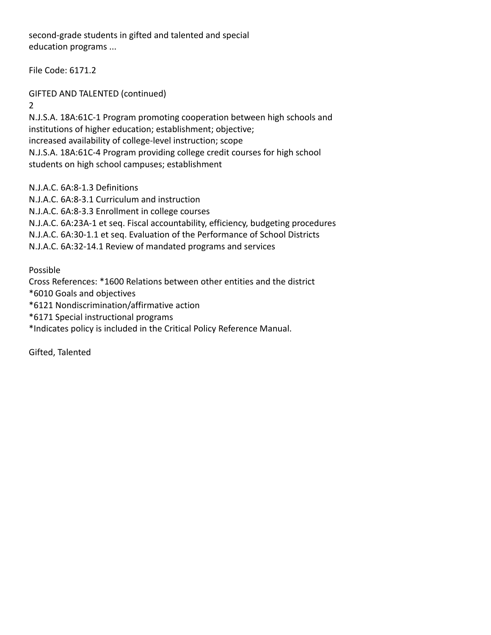second-grade students in gifted and talented and special education programs ...

File Code: 6171.2

GIFTED AND TALENTED (continued)

2

N.J.S.A. 18A:61C-1 Program promoting cooperation between high schools and institutions of higher education; establishment; objective; increased availability of college-level instruction; scope N.J.S.A. 18A:61C-4 Program providing college credit courses for high school students on high school campuses; establishment

N.J.A.C. 6A:8-1.3 Definitions

N.J.A.C. 6A:8-3.1 Curriculum and instruction N.J.A.C. 6A:8-3.3 Enrollment in college courses N.J.A.C. 6A:23A-1 et seq. Fiscal accountability, efficiency, budgeting procedures N.J.A.C. 6A:30-1.1 et seq. Evaluation of the Performance of School Districts N.J.A.C. 6A:32-14.1 Review of mandated programs and services

Possible

Cross References: \*1600 Relations between other entities and the district

\*6010 Goals and objectives

\*6121 Nondiscrimination/affirmative action

\*6171 Special instructional programs

\*Indicates policy is included in the Critical Policy Reference Manual.

Gifted, Talented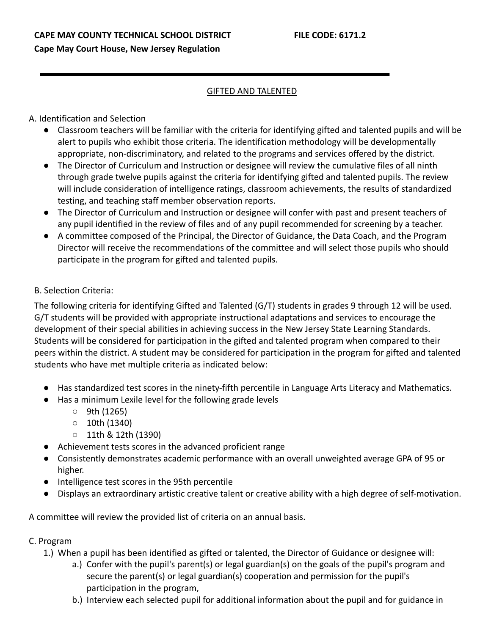#### GIFTED AND TALENTED

#### <span id="page-10-0"></span>A. Identification and Selection

- Classroom teachers will be familiar with the criteria for identifying gifted and talented pupils and will be alert to pupils who exhibit those criteria. The identification methodology will be developmentally appropriate, non-discriminatory, and related to the programs and services offered by the district.
- The Director of Curriculum and Instruction or designee will review the cumulative files of all ninth through grade twelve pupils against the criteria for identifying gifted and talented pupils. The review will include consideration of intelligence ratings, classroom achievements, the results of standardized testing, and teaching staff member observation reports.
- The Director of Curriculum and Instruction or designee will confer with past and present teachers of any pupil identified in the review of files and of any pupil recommended for screening by a teacher.
- A committee composed of the Principal, the Director of Guidance, the Data Coach, and the Program Director will receive the recommendations of the committee and will select those pupils who should participate in the program for gifted and talented pupils.

#### B. Selection Criteria:

The following criteria for identifying Gifted and Talented (G/T) students in grades 9 through 12 will be used. G/T students will be provided with appropriate instructional adaptations and services to encourage the development of their special abilities in achieving success in the New Jersey State Learning Standards. Students will be considered for participation in the gifted and talented program when compared to their peers within the district. A student may be considered for participation in the program for gifted and talented students who have met multiple criteria as indicated below:

- Has standardized test scores in the ninety-fifth percentile in Language Arts Literacy and Mathematics.
- Has a minimum Lexile level for the following grade levels
	- $\circ$  9th (1265)
	- 10th (1340)
	- 11th & 12th (1390)
- Achievement tests scores in the advanced proficient range
- Consistently demonstrates academic performance with an overall unweighted average GPA of 95 or higher.
- Intelligence test scores in the 95th percentile
- Displays an extraordinary artistic creative talent or creative ability with a high degree of self-motivation.

A committee will review the provided list of criteria on an annual basis.

#### C. Program

1.) When a pupil has been identified as gifted or talented, the Director of Guidance or designee will:

- a.) Confer with the pupil's parent(s) or legal guardian(s) on the goals of the pupil's program and secure the parent(s) or legal guardian(s) cooperation and permission for the pupil's participation in the program,
- b.) Interview each selected pupil for additional information about the pupil and for guidance in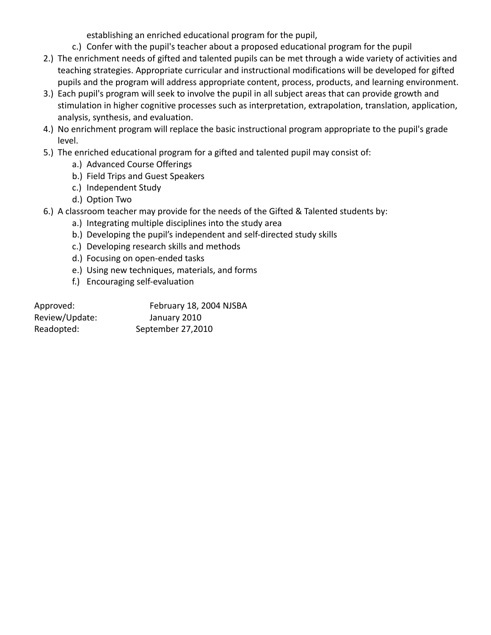establishing an enriched educational program for the pupil,

- c.) Confer with the pupil's teacher about a proposed educational program for the pupil
- 2.) The enrichment needs of gifted and talented pupils can be met through a wide variety of activities and teaching strategies. Appropriate curricular and instructional modifications will be developed for gifted pupils and the program will address appropriate content, process, products, and learning environment.
- 3.) Each pupil's program will seek to involve the pupil in all subject areas that can provide growth and stimulation in higher cognitive processes such as interpretation, extrapolation, translation, application, analysis, synthesis, and evaluation.
- 4.) No enrichment program will replace the basic instructional program appropriate to the pupil's grade level.
- 5.) The enriched educational program for a gifted and talented pupil may consist of:
	- a.) Advanced Course Offerings
	- b.) Field Trips and Guest Speakers
	- c.) Independent Study
	- d.) Option Two
- 6.) A classroom teacher may provide for the needs of the Gifted & Talented students by:
	- a.) Integrating multiple disciplines into the study area
	- b.) Developing the pupil's independent and self-directed study skills
	- c.) Developing research skills and methods
	- d.) Focusing on open-ended tasks
	- e.) Using new techniques, materials, and forms
	- f.) Encouraging self-evaluation

| Approved:      | February 18, 2004 NJSBA |
|----------------|-------------------------|
| Review/Update: | January 2010            |
| Readopted:     | September 27,2010       |